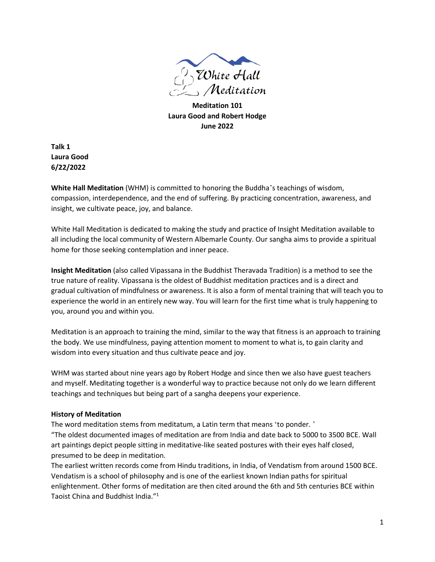

**Meditation 101 Laura Good and Robert Hodge June 2022**

**Talk 1 Laura Good 6/22/2022**

**White Hall Meditation** (WHM) is committed to honoring the Buddha's teachings of wisdom, compassion, interdependence, and the end of suffering. By practicing concentration, awareness, and insight, we cultivate peace, joy, and balance.

White Hall Meditation is dedicated to making the study and practice of Insight Meditation available to all including the local community of Western Albemarle County. Our sangha aims to provide a spiritual home for those seeking contemplation and inner peace.

**Insight Meditation** (also called Vipassana in the Buddhist Theravada Tradition) is a method to see the true nature of reality. Vipassana is the oldest of Buddhist meditation practices and is a direct and gradual cultivation of mindfulness or awareness. It is also a form of mental training that will teach you to experience the world in an entirely new way. You will learn for the first time what is truly happening to you, around you and within you.

Meditation is an approach to training the mind, similar to the way that fitness is an approach to training the body. We use mindfulness, paying attention moment to moment to what is, to gain clarity and wisdom into every situation and thus cultivate peace and joy.

WHM was started about nine years ago by Robert Hodge and since then we also have guest teachers and myself. Meditating together is a wonderful way to practice because not only do we learn different teachings and techniques but being part of a sangha deepens your experience.

# **History of Meditation**

The word meditation stems from meditatum, a Latin term that means 'to ponder. ' "The oldest documented images of meditation are from India and date back to 5000 to 3500 BCE. Wall art paintings depict people sitting in meditative-like seated postures with their eyes half closed,

presumed to be deep in meditation.

The earliest written records come from Hindu traditions, in India, of Vendatism from around 1500 BCE. Vendatism is a school of philosophy and is one of the earliest known Indian paths for spiritual enlightenment. Other forms of meditation are then cited around the 6th and 5th centuries BCE within Taoist China and Buddhist India." 1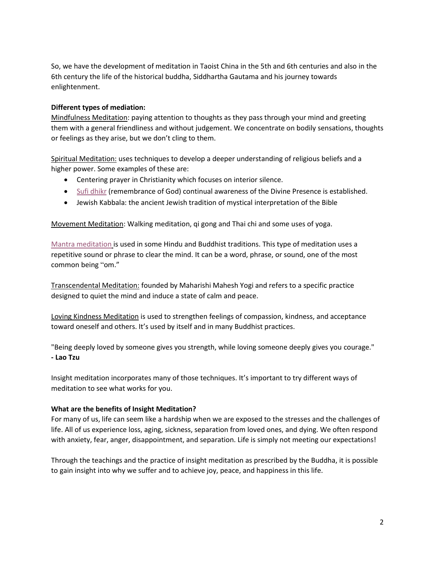So, we have the development of meditation in Taoist China in the 5th and 6th centuries and also in the 6th century the life of the historical buddha, Siddhartha Gautama and his journey towards enlightenment.

## **Different types of mediation:**

Mindfulness Meditation: paying attention to thoughts as they pass through your mind and greeting them with a general friendliness and without judgement. We concentrate on bodily sensations, thoughts or feelings as they arise, but we don't cling to them.

Spiritual Meditation: uses techniques to develop a deeper understanding of religious beliefs and a higher power. Some examples of these are:

- Centering prayer in Christianity which focuses on interior silence.
- [Sufi dhikr](https://sufischool.org/practices/dhikr.html) (remembrance of God) continual awareness of the Divine Presence is established.
- Jewish Kabbala: the ancient Jewish tradition of mystical interpretation of the Bible

Movement Meditation: Walking meditation, qi gong and Thai chi and some uses of yoga.

[Mantra meditation](https://www.healthline.com/health/mantra-meditation) is used in some Hindu and Buddhist traditions. This type of meditation uses a repetitive sound or phrase to clear the mind. It can be a word, phrase, or sound, one of the most common being "om."

Transcendental Meditation: founded by Maharishi Mahesh Yogi and refers to a specific practice designed to quiet the mind and induce a state of calm and peace.

Loving Kindness Meditation is used to strengthen feelings of compassion, kindness, and acceptance toward oneself and others. It's used by itself and in many Buddhist practices.

"Being deeply loved by someone gives you strength, while loving someone deeply gives you courage." **- Lao Tzu**

Insight meditation incorporates many of those techniques. It's important to try different ways of meditation to see what works for you.

#### **What are the benefits of Insight Meditation?**

For many of us, life can seem like a hardship when we are exposed to the stresses and the challenges of life. All of us experience loss, aging, sickness, separation from loved ones, and dying. We often respond with anxiety, fear, anger, disappointment, and separation. Life is simply not meeting our expectations!

Through the teachings and the practice of insight meditation as prescribed by the Buddha, it is possible to gain insight into why we suffer and to achieve joy, peace, and happiness in this life.